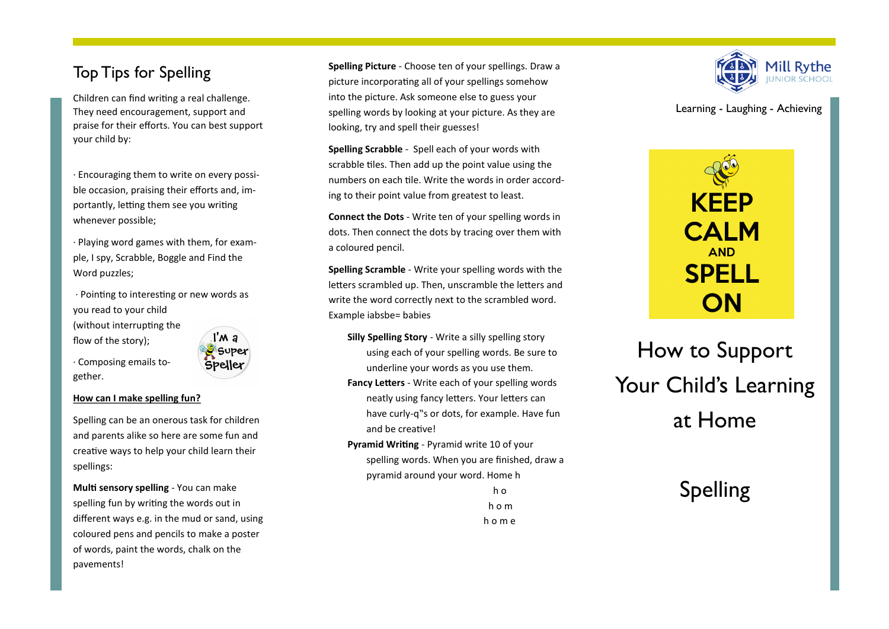### Top Tips for Spelling

Children can find writing a real challenge. They need encouragement, support and praise for their efforts. You can best support your child by:

· Encouraging them to write on every possible occasion, praising their efforts and, importantly, letting them see you writing whenever possible;

· Playing word games with them, for example, I spy, Scrabble, Boggle and Find the Word puzzles;

· Pointing to interesting or new words as you read to your child (without interrupting the l'M a flow of the story);

· Composing emails together.



#### **How can I make spelling fun?**

Spelling can be an onerous task for children and parents alike so here are some fun and creative ways to help your child learn their spellings:

**Multi sensory spelling** - You can make spelling fun by writing the words out in different ways e.g. in the mud or sand, using coloured pens and pencils to make a poster of words, paint the words, chalk on the pavements!

**Spelling Picture** - Choose ten of your spellings. Draw a picture incorporating all of your spellings somehow into the picture. Ask someone else to guess your spelling words by looking at your picture. As they are looking, try and spell their guesses!

**Spelling Scrabble** - Spell each of your words with scrabble tiles. Then add up the point value using the numbers on each tile. Write the words in order according to their point value from greatest to least.

**Connect the Dots** - Write ten of your spelling words in dots. Then connect the dots by tracing over them with a coloured pencil.

**Spelling Scramble** - Write your spelling words with the letters scrambled up. Then, unscramble the letters and write the word correctly next to the scrambled word. Example iabsbe= babies

**Silly Spelling Story** - Write a silly spelling story using each of your spelling words. Be sure to underline your words as you use them.

**Fancy Letters** - Write each of your spelling words neatly using fancy letters. Your letters can have curly-q"s or dots, for example. Have fun and be creative!

**Pyramid Writing** - Pyramid write 10 of your spelling words. When you are finished, draw a pyramid around your word. Home h

**h** or the original control of  $h$  or  $h$  h o m h o m e



Learning - Laughing - Achieving

# **KEEP CALM AND SPELL** ON

# How to Support Your Child's Learning at Home

## Spelling